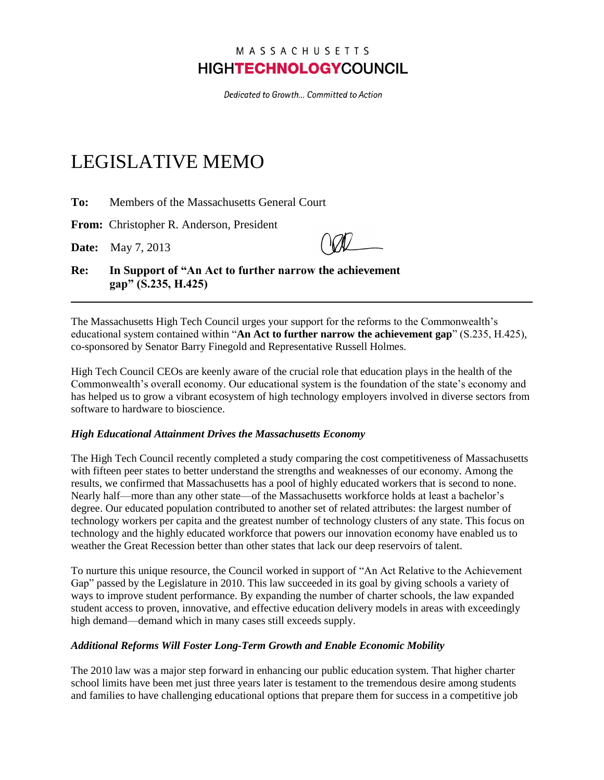## MASSACHUSETTS **HIGHTECHNOLOGYCOUNCIL**

Dedicated to Growth... Committed to Action

## LEGISLATIVE MEMO

**To:** Members of the Massachusetts General Court

**From:** Christopher R. Anderson, President

**Date:** May 7, 2013

**Re: In Support of "An Act to further narrow the achievement gap" (S.235, H.425)**

The Massachusetts High Tech Council urges your support for the reforms to the Commonwealth's educational system contained within "**An Act to further narrow the achievement gap**" (S.235, H.425), co-sponsored by Senator Barry Finegold and Representative Russell Holmes.

High Tech Council CEOs are keenly aware of the crucial role that education plays in the health of the Commonwealth's overall economy. Our educational system is the foundation of the state's economy and has helped us to grow a vibrant ecosystem of high technology employers involved in diverse sectors from software to hardware to bioscience.

## *High Educational Attainment Drives the Massachusetts Economy*

The High Tech Council recently completed a study comparing the cost competitiveness of Massachusetts with fifteen peer states to better understand the strengths and weaknesses of our economy. Among the results, we confirmed that Massachusetts has a pool of highly educated workers that is second to none. Nearly half—more than any other state—of the Massachusetts workforce holds at least a bachelor's degree. Our educated population contributed to another set of related attributes: the largest number of technology workers per capita and the greatest number of technology clusters of any state. This focus on technology and the highly educated workforce that powers our innovation economy have enabled us to weather the Great Recession better than other states that lack our deep reservoirs of talent.

To nurture this unique resource, the Council worked in support of "An Act Relative to the Achievement Gap" passed by the Legislature in 2010. This law succeeded in its goal by giving schools a variety of ways to improve student performance. By expanding the number of charter schools, the law expanded student access to proven, innovative, and effective education delivery models in areas with exceedingly high demand—demand which in many cases still exceeds supply.

## *Additional Reforms Will Foster Long-Term Growth and Enable Economic Mobility*

The 2010 law was a major step forward in enhancing our public education system. That higher charter school limits have been met just three years later is testament to the tremendous desire among students and families to have challenging educational options that prepare them for success in a competitive job